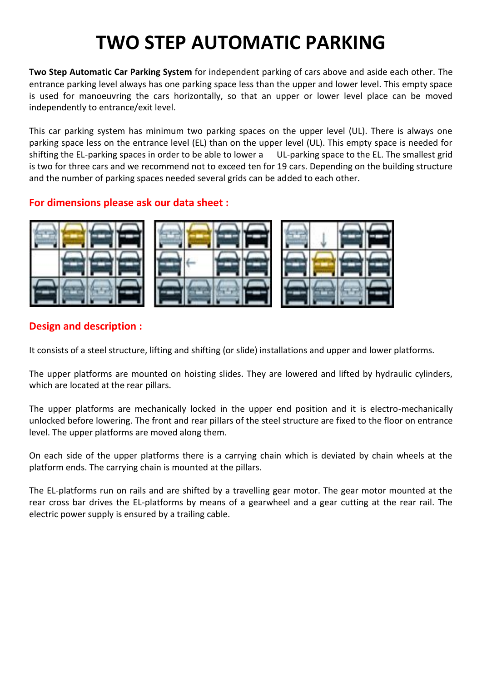## **TWO STEP AUTOMATIC PARKING**

**Two Step Automatic Car Parking System** for independent parking of cars above and aside each other. The entrance parking level always has one parking space less than the upper and lower level. This empty space is used for manoeuvring the cars horizontally, so that an upper or lower level place can be moved independently to entrance/exit level.

This car parking system has minimum two parking spaces on the upper level (UL). There is always one parking space less on the entrance level (EL) than on the upper level (UL). This empty space is needed for shifting the EL-parking spaces in order to be able to lower a UL-parking space to the EL. The smallest grid is two for three cars and we recommend not to exceed ten for 19 cars. Depending on the building structure and the number of parking spaces needed several grids can be added to each other.

## **For dimensions please ask our data sheet :**



## **Design and description :**

It consists of a steel structure, lifting and shifting (or slide) installations and upper and lower platforms.

The upper platforms are mounted on hoisting slides. They are lowered and lifted by hydraulic cylinders, which are located at the rear pillars.

The upper platforms are mechanically locked in the upper end position and it is electro-mechanically unlocked before lowering. The front and rear pillars of the steel structure are fixed to the floor on entrance level. The upper platforms are moved along them.

On each side of the upper platforms there is a carrying chain which is deviated by chain wheels at the platform ends. The carrying chain is mounted at the pillars.

The EL-platforms run on rails and are shifted by a travelling gear motor. The gear motor mounted at the rear cross bar drives the EL-platforms by means of a gearwheel and a gear cutting at the rear rail. The electric power supply is ensured by a trailing cable.